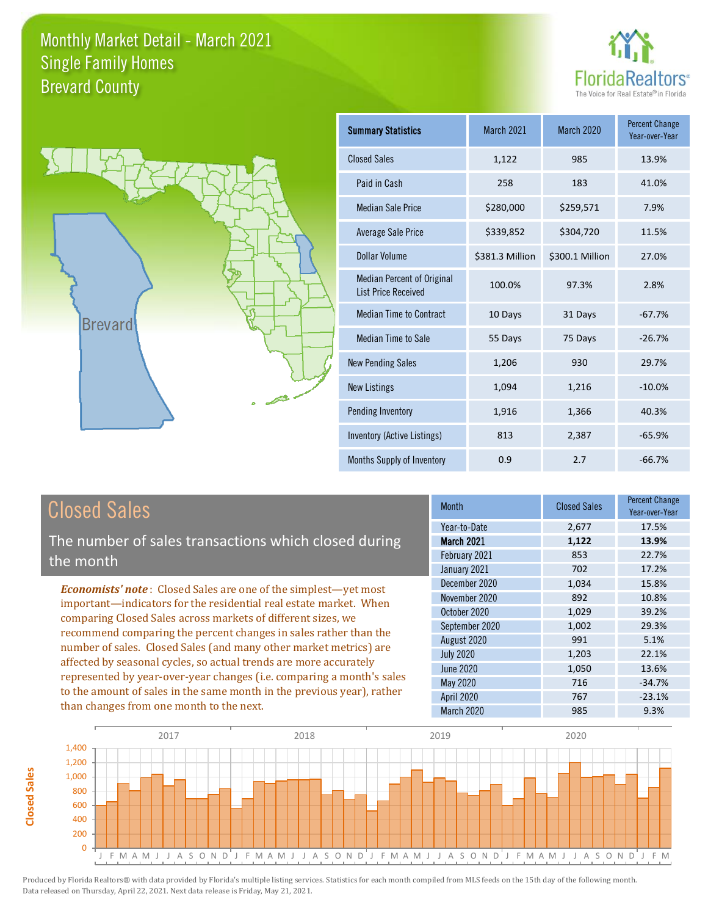



| <b>Summary Statistics</b>                                       | March 2021      | <b>March 2020</b> | <b>Percent Change</b><br>Year-over-Year |
|-----------------------------------------------------------------|-----------------|-------------------|-----------------------------------------|
| <b>Closed Sales</b>                                             | 1,122           | 985               | 13.9%                                   |
| Paid in Cash                                                    | 258             | 183               | 41.0%                                   |
| <b>Median Sale Price</b>                                        | \$280,000       | \$259,571         | 7.9%                                    |
| <b>Average Sale Price</b>                                       | \$339,852       | \$304,720         | 11.5%                                   |
| Dollar Volume                                                   | \$381.3 Million | \$300.1 Million   | 27.0%                                   |
| <b>Median Percent of Original</b><br><b>List Price Received</b> | 100.0%          | 97.3%             | 2.8%                                    |
| <b>Median Time to Contract</b>                                  | 10 Days         | 31 Days           | $-67.7%$                                |
| <b>Median Time to Sale</b>                                      | 55 Days         | 75 Days           | $-26.7%$                                |
| <b>New Pending Sales</b>                                        | 1,206           | 930               | 29.7%                                   |
| <b>New Listings</b>                                             | 1,094           | 1,216             | $-10.0%$                                |
| Pending Inventory                                               | 1,916           | 1,366             | 40.3%                                   |
| Inventory (Active Listings)                                     | 813             | 2,387             | $-65.9%$                                |
| Months Supply of Inventory                                      | 0.9             | 2.7               | $-66.7%$                                |

# Closed Sales

The number of sales transactions which closed during the month

*Economists' note* : Closed Sales are one of the simplest—yet most important—indicators for the residential real estate market. When comparing Closed Sales across markets of different sizes, we recommend comparing the percent changes in sales rather than the number of sales. Closed Sales (and many other market metrics) are affected by seasonal cycles, so actual trends are more accurately represented by year-over-year changes (i.e. comparing a month's sales to the amount of sales in the same month in the previous year), rather than changes from one month to the next.

| <b>Month</b>      | <b>Closed Sales</b> | <b>Percent Change</b><br>Year-over-Year |
|-------------------|---------------------|-----------------------------------------|
| Year-to-Date      | 2,677               | 17.5%                                   |
| <b>March 2021</b> | 1,122               | 13.9%                                   |
| February 2021     | 853                 | 22.7%                                   |
| January 2021      | 702                 | 17.2%                                   |
| December 2020     | 1,034               | 15.8%                                   |
| November 2020     | 892                 | 10.8%                                   |
| October 2020      | 1,029               | 39.2%                                   |
| September 2020    | 1,002               | 29.3%                                   |
| August 2020       | 991                 | 5.1%                                    |
| <b>July 2020</b>  | 1,203               | 22.1%                                   |
| <b>June 2020</b>  | 1,050               | 13.6%                                   |
| <b>May 2020</b>   | 716                 | $-34.7%$                                |
| April 2020        | 767                 | $-23.1%$                                |
| March 2020        | 985                 | 9.3%                                    |

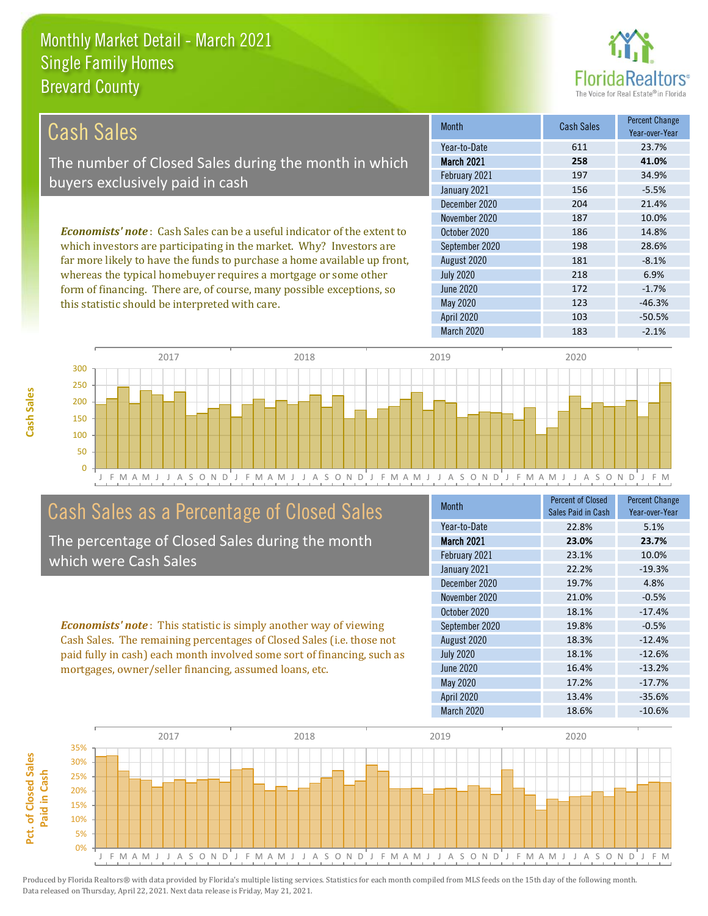this statistic should be interpreted with care.



123 -46.3%

| Cash Sales                                                                      | <b>Month</b>      | <b>Cash Sales</b> | <b>Percent Change</b><br>Year-over-Year |
|---------------------------------------------------------------------------------|-------------------|-------------------|-----------------------------------------|
|                                                                                 | Year-to-Date      | 611               | 23.7%                                   |
| The number of Closed Sales during the month in which                            | <b>March 2021</b> | 258               | 41.0%                                   |
| buyers exclusively paid in cash                                                 | February 2021     | 197               | 34.9%                                   |
|                                                                                 | January 2021      | 156               | $-5.5%$                                 |
|                                                                                 | December 2020     | 204               | 21.4%                                   |
|                                                                                 | November 2020     | 187               | 10.0%                                   |
| <b>Economists' note</b> : Cash Sales can be a useful indicator of the extent to | October 2020      | 186               | 14.8%                                   |
| which investors are participating in the market. Why? Investors are             | September 2020    | 198               | 28.6%                                   |
| far more likely to have the funds to purchase a home available up front,        | August 2020       | 181               | $-8.1%$                                 |
| whereas the typical homebuyer requires a mortgage or some other                 | <b>July 2020</b>  | 218               | 6.9%                                    |
| form of financing. There are, of course, many possible exceptions, so           | June 2020         | 172               | $-1.7%$                                 |



# Cash Sales as a Percentage of Closed Sales

The percentage of Closed Sales during the month which were Cash Sales

*Economists' note* : This statistic is simply another way of viewing Cash Sales. The remaining percentages of Closed Sales (i.e. those not paid fully in cash) each month involved some sort of financing, such as mortgages, owner/seller financing, assumed loans, etc.

| <b>Month</b>      | <b>Percent of Closed</b><br>Sales Paid in Cash | <b>Percent Change</b><br>Year-over-Year |
|-------------------|------------------------------------------------|-----------------------------------------|
| Year-to-Date      | 22.8%                                          | 5.1%                                    |
| March 2021        | 23.0%                                          | 23.7%                                   |
| February 2021     | 23.1%                                          | 10.0%                                   |
| January 2021      | 22.2%                                          | $-19.3%$                                |
| December 2020     | 19.7%                                          | 4.8%                                    |
| November 2020     | 21.0%                                          | $-0.5%$                                 |
| October 2020      | 18.1%                                          | $-17.4%$                                |
| September 2020    | 19.8%                                          | $-0.5%$                                 |
| August 2020       | 18.3%                                          | $-12.4%$                                |
| <b>July 2020</b>  | 18.1%                                          | $-12.6%$                                |
| June 2020         | 16.4%                                          | $-13.2%$                                |
| May 2020          | 17.2%                                          | $-17.7%$                                |
| <b>April 2020</b> | 13.4%                                          | $-35.6%$                                |
| <b>March 2020</b> | 18.6%                                          | $-10.6%$                                |

April 2020 103 103 -50.5%

May 2020

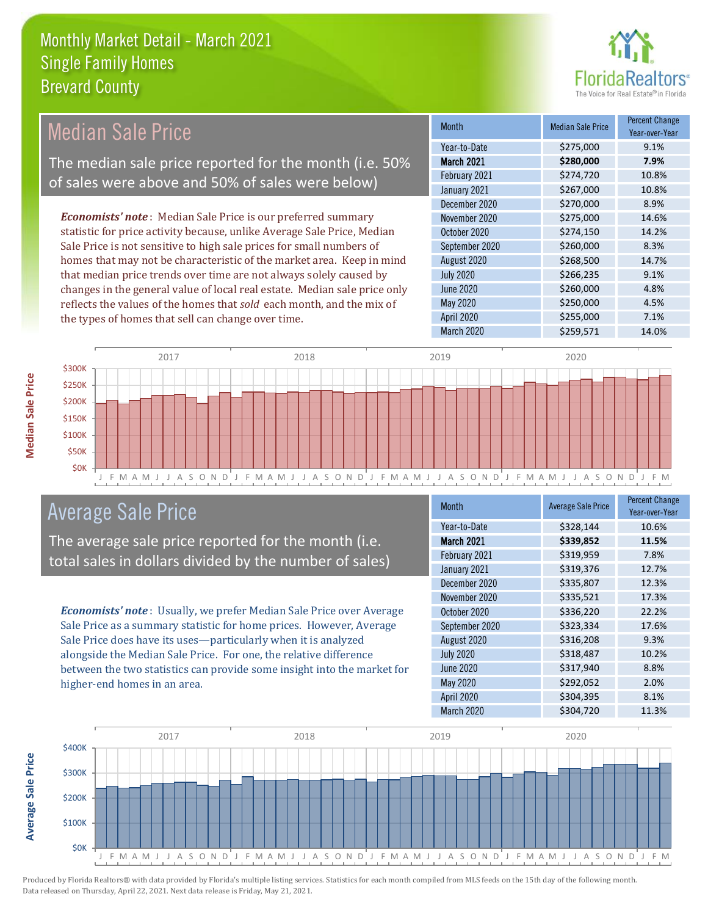

#### *Economists' note* : Median Sale Price is our preferred summary statistic for price activity because, unlike Average Sale Price, Median Sale Price is not sensitive to high sale prices for small numbers of homes that may not be characteristic of the market area. Keep in mind that median price trends over time are not always solely caused by changes in the general value of local real estate. Median sale price only reflects the values of the homes that *sold* each month, and the mix of the types of homes that sell can change over time. March 2020 \$259,571 14.0% May 2020 6250,000 4.5% April 2020 \$255,000 7.1% July 2020 \$266,235 9.1% June 2020 **\$260,000** \$260,000 4.8% \$270,000 8.9% November 2020 \$275,000 14.6% August 2020 \$268,500 14.7% February 2021 \$274,720 10.8% January 2021 **\$267,000** 10.8% October 2020 **\$274,150** \$274,150 September 2020 \$260,000 8.3% December 2020 Month Median Sale Price Percent Change Year-over-Year March 2021 **\$280,000 7.9%** Year-to-Date \$275,000 9.1% \$300K 2017 2018 2019 2020 Median Sale Price The median sale price reported for the month (i.e. 50% of sales were above and 50% of sales were below)



### Average Sale Price

The average sale price reported for the month (i.e. total sales in dollars divided by the number of sales)

*Economists' note* : Usually, we prefer Median Sale Price over Average Sale Price as a summary statistic for home prices. However, Average Sale Price does have its uses—particularly when it is analyzed alongside the Median Sale Price. For one, the relative difference between the two statistics can provide some insight into the market for higher-end homes in an area.

| Month             | <b>Average Sale Price</b> | <b>Percent Change</b><br>Year-over-Year |
|-------------------|---------------------------|-----------------------------------------|
| Year-to-Date      | \$328,144                 | 10.6%                                   |
| March 2021        | \$339,852                 | 11.5%                                   |
| February 2021     | \$319,959                 | 7.8%                                    |
| January 2021      | \$319,376                 | 12.7%                                   |
| December 2020     | \$335,807                 | 12.3%                                   |
| November 2020     | \$335,521                 | 17.3%                                   |
| October 2020      | \$336,220                 | 22.2%                                   |
| September 2020    | \$323,334                 | 17.6%                                   |
| August 2020       | \$316,208                 | 9.3%                                    |
| <b>July 2020</b>  | \$318,487                 | 10.2%                                   |
| <b>June 2020</b>  | \$317,940                 | 8.8%                                    |
| May 2020          | \$292,052                 | 2.0%                                    |
| <b>April 2020</b> | \$304,395                 | 8.1%                                    |
| March 2020        | \$304,720                 | 11.3%                                   |



**Average Sale Price**

**Average Sale Price**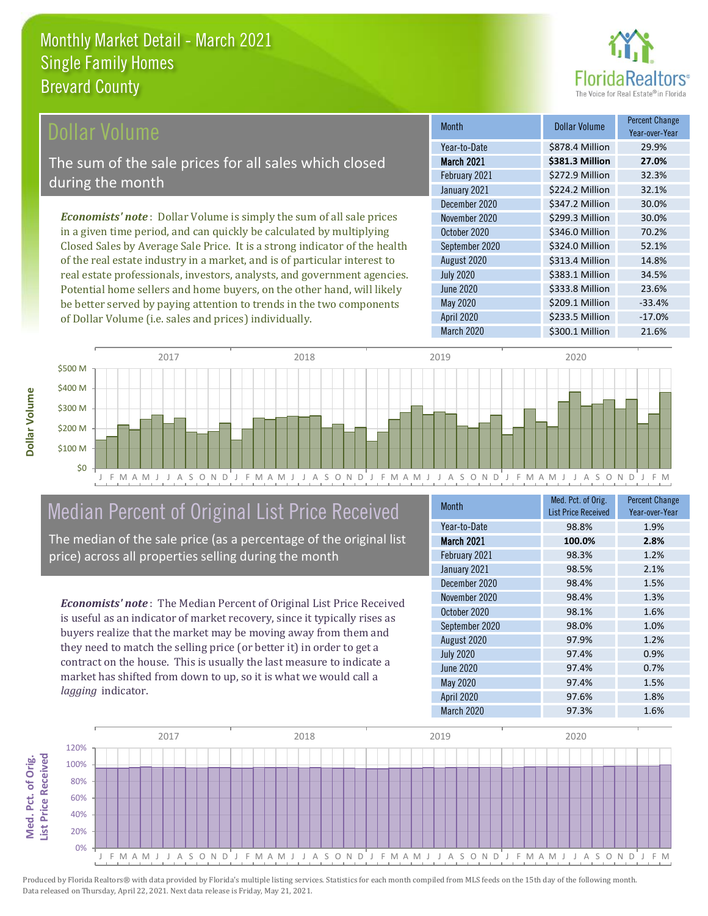

### **Ollar Volume**

The sum of the sale prices for all sales which closed during the month

*Economists' note* : Dollar Volume is simply the sum of all sale prices in a given time period, and can quickly be calculated by multiplying Closed Sales by Average Sale Price. It is a strong indicator of the health of the real estate industry in a market, and is of particular interest to real estate professionals, investors, analysts, and government agencies. Potential home sellers and home buyers, on the other hand, will likely be better served by paying attention to trends in the two components of Dollar Volume (i.e. sales and prices) individually.

| <b>Month</b>      | Dollar Volume   | <b>Percent Change</b><br>Year-over-Year |
|-------------------|-----------------|-----------------------------------------|
| Year-to-Date      | \$878.4 Million | 29.9%                                   |
| March 2021        | \$381.3 Million | 27.0%                                   |
| February 2021     | \$272.9 Million | 32.3%                                   |
| January 2021      | \$224.2 Million | 32.1%                                   |
| December 2020     | \$347.2 Million | 30.0%                                   |
| November 2020     | \$299.3 Million | 30.0%                                   |
| October 2020      | \$346.0 Million | 70.2%                                   |
| September 2020    | \$324.0 Million | 52.1%                                   |
| August 2020       | \$313.4 Million | 14.8%                                   |
| <b>July 2020</b>  | \$383.1 Million | 34.5%                                   |
| <b>June 2020</b>  | \$333.8 Million | 23.6%                                   |
| May 2020          | \$209.1 Million | $-33.4%$                                |
| <b>April 2020</b> | \$233.5 Million | $-17.0%$                                |
| March 2020        | \$300.1 Million | 21.6%                                   |



# Median Percent of Original List Price Received

The median of the sale price (as a percentage of the original list price) across all properties selling during the month

*Economists' note* : The Median Percent of Original List Price Received is useful as an indicator of market recovery, since it typically rises as buyers realize that the market may be moving away from them and they need to match the selling price (or better it) in order to get a contract on the house. This is usually the last measure to indicate a market has shifted from down to up, so it is what we would call a *lagging* indicator.

| <b>Month</b>      | Med. Pct. of Orig.<br><b>List Price Received</b> | <b>Percent Change</b><br>Year-over-Year |
|-------------------|--------------------------------------------------|-----------------------------------------|
| Year-to-Date      | 98.8%                                            | 1.9%                                    |
| March 2021        | 100.0%                                           | 2.8%                                    |
| February 2021     | 98.3%                                            | 1.2%                                    |
| January 2021      | 98.5%                                            | 2.1%                                    |
| December 2020     | 98.4%                                            | 1.5%                                    |
| November 2020     | 98.4%                                            | 1.3%                                    |
| October 2020      | 98.1%                                            | 1.6%                                    |
| September 2020    | 98.0%                                            | 1.0%                                    |
| August 2020       | 97.9%                                            | 1.2%                                    |
| <b>July 2020</b>  | 97.4%                                            | 0.9%                                    |
| <b>June 2020</b>  | 97.4%                                            | 0.7%                                    |
| <b>May 2020</b>   | 97.4%                                            | 1.5%                                    |
| <b>April 2020</b> | 97.6%                                            | 1.8%                                    |
| March 2020        | 97.3%                                            | 1.6%                                    |



Produced by Florida Realtors® with data provided by Florida's multiple listing services. Statistics for each month compiled from MLS feeds on the 15th day of the following month. Data released on Thursday, April 22, 2021. Next data release is Friday, May 21, 2021.

Med. Pct. of Orig.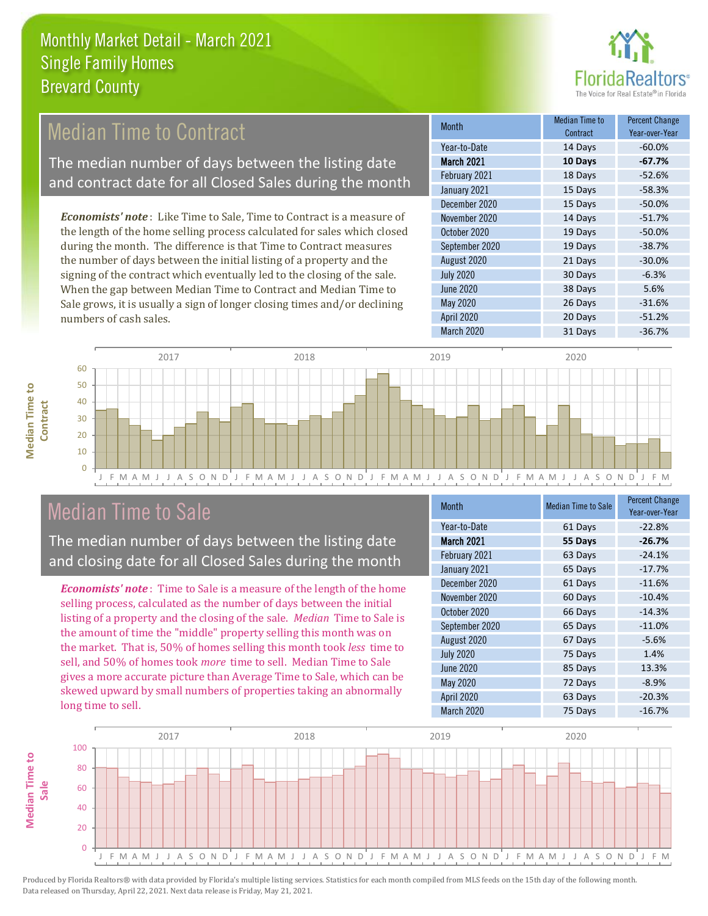

# Median Time to Contract

The median number of days between the listing date and contract date for all Closed Sales during the month

*Economists' note* : Like Time to Sale, Time to Contract is a measure of the length of the home selling process calculated for sales which closed during the month. The difference is that Time to Contract measures the number of days between the initial listing of a property and the signing of the contract which eventually led to the closing of the sale. When the gap between Median Time to Contract and Median Time to Sale grows, it is usually a sign of longer closing times and/or declining numbers of cash sales.

| <b>Month</b>     | Median Time to<br>Contract | <b>Percent Change</b><br>Year-over-Year |
|------------------|----------------------------|-----------------------------------------|
| Year-to-Date     | 14 Days                    | $-60.0%$                                |
| March 2021       | 10 Days                    | $-67.7%$                                |
| February 2021    | 18 Days                    | $-52.6%$                                |
| January 2021     | 15 Days                    | $-58.3%$                                |
| December 2020    | 15 Days                    | $-50.0%$                                |
| November 2020    | 14 Days                    | $-51.7%$                                |
| October 2020     | 19 Days                    | $-50.0%$                                |
| September 2020   | 19 Days                    | $-38.7%$                                |
| August 2020      | 21 Days                    | $-30.0%$                                |
| <b>July 2020</b> | 30 Days                    | $-6.3%$                                 |
| <b>June 2020</b> | 38 Days                    | 5.6%                                    |
| <b>May 2020</b>  | 26 Days                    | $-31.6%$                                |
| April 2020       | 20 Days                    | $-51.2%$                                |
| March 2020       | 31 Days                    | $-36.7%$                                |



## Median Time to Sale

**Median Time to** 

**Median Time to** 

The median number of days between the listing date and closing date for all Closed Sales during the month

*Economists' note* : Time to Sale is a measure of the length of the home selling process, calculated as the number of days between the initial listing of a property and the closing of the sale. *Median* Time to Sale is the amount of time the "middle" property selling this month was on the market. That is, 50% of homes selling this month took *less* time to sell, and 50% of homes took *more* time to sell. Median Time to Sale gives a more accurate picture than Average Time to Sale, which can be skewed upward by small numbers of properties taking an abnormally long time to sell.

| <b>Month</b>      | <b>Median Time to Sale</b> | <b>Percent Change</b><br>Year-over-Year |
|-------------------|----------------------------|-----------------------------------------|
| Year-to-Date      | 61 Days                    | $-22.8%$                                |
| March 2021        | 55 Days                    | $-26.7%$                                |
| February 2021     | 63 Days                    | $-24.1%$                                |
| January 2021      | 65 Days                    | $-17.7%$                                |
| December 2020     | 61 Days                    | $-11.6%$                                |
| November 2020     | 60 Days                    | $-10.4%$                                |
| October 2020      | 66 Days                    | $-14.3%$                                |
| September 2020    | 65 Days                    | $-11.0%$                                |
| August 2020       | 67 Days                    | $-5.6%$                                 |
| <b>July 2020</b>  | 75 Days                    | 1.4%                                    |
| <b>June 2020</b>  | 85 Days                    | 13.3%                                   |
| May 2020          | 72 Days                    | $-8.9%$                                 |
| <b>April 2020</b> | 63 Days                    | $-20.3%$                                |
| March 2020        | 75 Days                    | $-16.7%$                                |

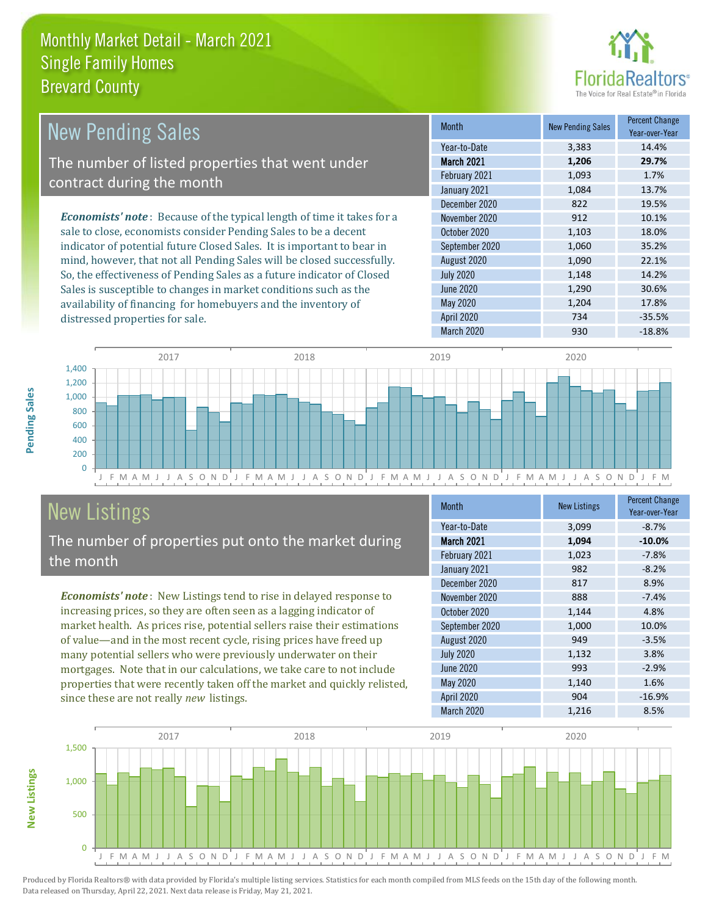

| <b>New Pending Sales</b>                                                       | <b>Month</b>      | <b>New Pending Sales</b> | <b>Percent Change</b><br>Year-over-Year |
|--------------------------------------------------------------------------------|-------------------|--------------------------|-----------------------------------------|
|                                                                                | Year-to-Date      | 3.383                    | 14.4%                                   |
| The number of listed properties that went under                                | <b>March 2021</b> | 1,206                    | 29.7%                                   |
| contract during the month                                                      | February 2021     | 1,093                    | 1.7%                                    |
|                                                                                | January 2021      | 1,084                    | 13.7%                                   |
|                                                                                | December 2020     | 822                      | 19.5%                                   |
| <b>Economists' note</b> : Because of the typical length of time it takes for a | November 2020     | 912                      | 10.1%                                   |
| sale to close, economists consider Pending Sales to be a decent                | October 2020      | 1,103                    | 18.0%                                   |
| indicator of potential future Closed Sales. It is important to bear in         | September 2020    | 1,060                    | 35.2%                                   |
| mind, however, that not all Pending Sales will be closed successfully.         | August 2020       | 1,090                    | 22.1%                                   |
| So, the effectiveness of Pending Sales as a future indicator of Closed         | <b>July 2020</b>  | 1,148                    | 14.2%                                   |
| Sales is susceptible to changes in market conditions such as the               | June 2020         | 1.290                    | 30.6%                                   |



# New Listings

distressed properties for sale.

The number of properties put onto the market during the month

Sales is susceptible to changes in market conditions such as the availability of financing for homebuyers and the inventory of

*Economists' note* : New Listings tend to rise in delayed response to increasing prices, so they are often seen as a lagging indicator of market health. As prices rise, potential sellers raise their estimations of value—and in the most recent cycle, rising prices have freed up many potential sellers who were previously underwater on their mortgages. Note that in our calculations, we take care to not include properties that were recently taken off the market and quickly relisted, since these are not really *new* listings.

| <b>Month</b>      | <b>New Listings</b> | <b>Percent Change</b><br>Year-over-Year |
|-------------------|---------------------|-----------------------------------------|
| Year-to-Date      | 3,099               | $-8.7%$                                 |
| <b>March 2021</b> | 1,094               | $-10.0%$                                |
| February 2021     | 1,023               | $-7.8%$                                 |
| January 2021      | 982                 | $-8.2%$                                 |
| December 2020     | 817                 | 8.9%                                    |
| November 2020     | 888                 | $-7.4%$                                 |
| October 2020      | 1,144               | 4.8%                                    |
| September 2020    | 1,000               | 10.0%                                   |
| August 2020       | 949                 | $-3.5%$                                 |
| <b>July 2020</b>  | 1,132               | 3.8%                                    |
| <b>June 2020</b>  | 993                 | $-2.9%$                                 |
| May 2020          | 1,140               | 1.6%                                    |
| <b>April 2020</b> | 904                 | $-16.9%$                                |
| March 2020        | 1,216               | 8.5%                                    |

March 2020 930 930 -18.8%

May 2020 1,204 17.8% April 2020 734 -35.5%



Produced by Florida Realtors® with data provided by Florida's multiple listing services. Statistics for each month compiled from MLS feeds on the 15th day of the following month. Data released on Thursday, April 22, 2021. Next data release is Friday, May 21, 2021.

**New Listings**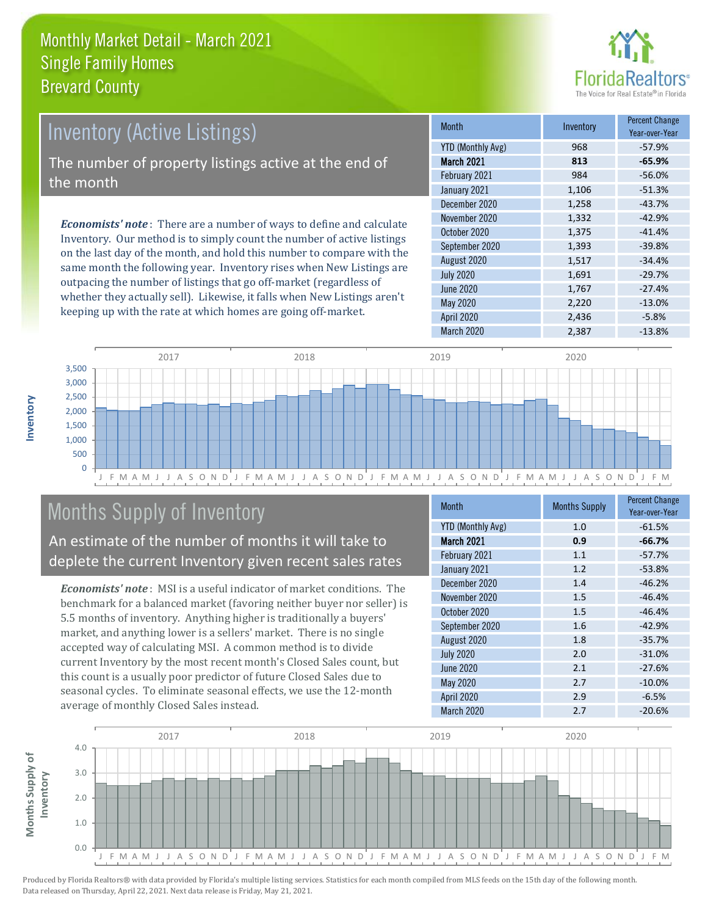

# Inventory (Active Listings)

The number of property listings active at the end of the month

*Economists' note* : There are a number of ways to define and calculate Inventory. Our method is to simply count the number of active listings on the last day of the month, and hold this number to compare with the same month the following year. Inventory rises when New Listings are outpacing the number of listings that go off-market (regardless of whether they actually sell). Likewise, it falls when New Listings aren't keeping up with the rate at which homes are going off-market.

| <b>Month</b>             | Inventory | <b>Percent Change</b><br>Year-over-Year |
|--------------------------|-----------|-----------------------------------------|
| <b>YTD (Monthly Avg)</b> | 968       | $-57.9%$                                |
| March 2021               | 813       | $-65.9%$                                |
| February 2021            | 984       | $-56.0%$                                |
| January 2021             | 1,106     | $-51.3%$                                |
| December 2020            | 1,258     | $-43.7%$                                |
| November 2020            | 1,332     | $-42.9%$                                |
| October 2020             | 1,375     | $-41.4%$                                |
| September 2020           | 1,393     | $-39.8%$                                |
| August 2020              | 1,517     | $-34.4%$                                |
| <b>July 2020</b>         | 1,691     | $-29.7%$                                |
| <b>June 2020</b>         | 1,767     | $-27.4%$                                |
| May 2020                 | 2,220     | $-13.0%$                                |
| <b>April 2020</b>        | 2,436     | $-5.8%$                                 |
| <b>March 2020</b>        | 2,387     | $-13.8%$                                |



# Months Supply of Inventory

An estimate of the number of months it will take to deplete the current Inventory given recent sales rates

*Economists' note* : MSI is a useful indicator of market conditions. The benchmark for a balanced market (favoring neither buyer nor seller) is 5.5 months of inventory. Anything higher is traditionally a buyers' market, and anything lower is a sellers' market. There is no single accepted way of calculating MSI. A common method is to divide current Inventory by the most recent month's Closed Sales count, but this count is a usually poor predictor of future Closed Sales due to seasonal cycles. To eliminate seasonal effects, we use the 12-month average of monthly Closed Sales instead.

| <b>Month</b>             | <b>Months Supply</b> | <b>Percent Change</b><br>Year-over-Year |
|--------------------------|----------------------|-----------------------------------------|
| <b>YTD (Monthly Avg)</b> | 1.0                  | $-61.5%$                                |
| March 2021               | 0.9                  | $-66.7%$                                |
| February 2021            | 1.1                  | $-57.7%$                                |
| January 2021             | 1.2                  | $-53.8%$                                |
| December 2020            | 1.4                  | $-46.2%$                                |
| November 2020            | 1.5                  | $-46.4%$                                |
| October 2020             | 1.5                  | $-46.4%$                                |
| September 2020           | 1.6                  | $-42.9%$                                |
| August 2020              | 1.8                  | $-35.7%$                                |
| <b>July 2020</b>         | 2.0                  | $-31.0%$                                |
| June 2020                | 2.1                  | $-27.6%$                                |
| May 2020                 | 2.7                  | $-10.0%$                                |
| <b>April 2020</b>        | 2.9                  | $-6.5%$                                 |
| March 2020               | 2.7                  | $-20.6%$                                |

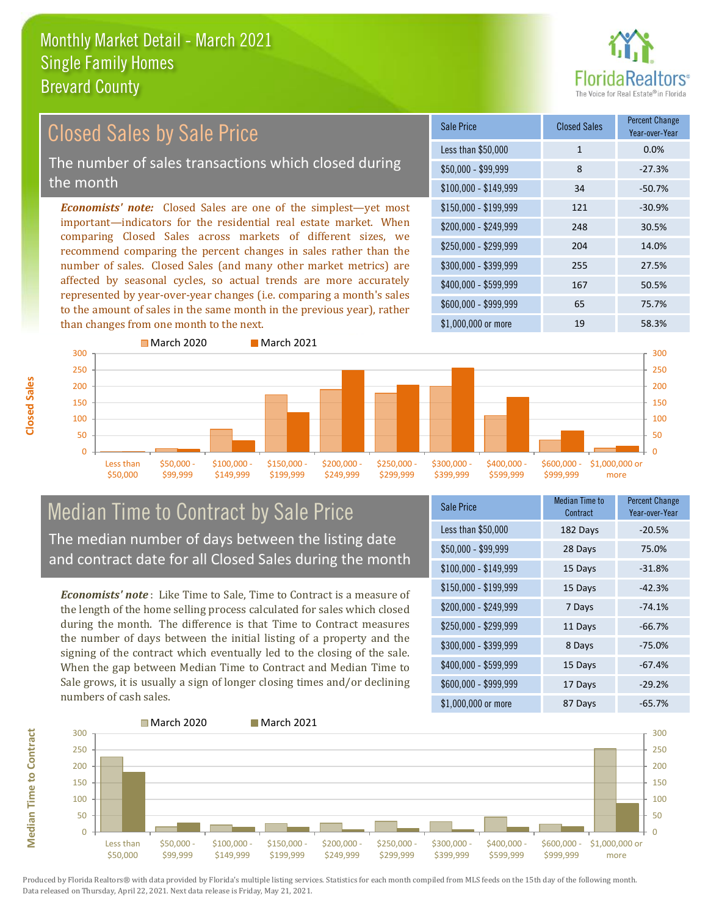

#### \$100,000 - \$149,999 34 -50.7% Sale Price Closed Sales Percent Change Year-over-Year Less than \$50,000 1 1 0.0%  $$50,000 - $99,999$  8 -27.3% \$150,000 - \$199,999 121 -30.9% \$200,000 - \$249,999 248 30.5% \$400,000 - \$599,999 167 50.5% \$600,000 - \$999,999 65 75.7% *Economists' note:* Closed Sales are one of the simplest—yet most important—indicators for the residential real estate market. When comparing Closed Sales across markets of different sizes, we recommend comparing the percent changes in sales rather than the number of sales. Closed Sales (and many other market metrics) are affected by seasonal cycles, so actual trends are more accurately represented by year-over-year changes (i.e. comparing a month's sales to the amount of sales in the same month in the previous year), rather than changes from one month to the next. \$1,000,000 or more 19 19 58.3% \$250,000 - \$299,999 204 14.0% \$300,000 - \$399,999 255 27.5% 300 March 2020 March 2021 300 Closed Sales by Sale Price The number of sales transactions which closed during the month



### Median Time to Contract by Sale Price The median number of days between the listing date and contract date for all Closed Sales during the month

*Economists' note* : Like Time to Sale, Time to Contract is a measure of the length of the home selling process calculated for sales which closed during the month. The difference is that Time to Contract measures the number of days between the initial listing of a property and the signing of the contract which eventually led to the closing of the sale. When the gap between Median Time to Contract and Median Time to Sale grows, it is usually a sign of longer closing times and/or declining numbers of cash sales.

| <b>Sale Price</b>     | Median Time to<br>Contract | <b>Percent Change</b><br>Year-over-Year |
|-----------------------|----------------------------|-----------------------------------------|
| Less than \$50,000    | 182 Days                   | $-20.5%$                                |
| $$50,000 - $99,999$   | 28 Days                    | 75.0%                                   |
| $$100,000 - $149,999$ | 15 Days                    | $-31.8%$                                |
| $$150,000 - $199,999$ | 15 Days                    | $-42.3%$                                |
| \$200,000 - \$249,999 | 7 Days                     | $-74.1%$                                |
| \$250,000 - \$299,999 | 11 Days                    | $-66.7%$                                |
| \$300,000 - \$399,999 | 8 Days                     | $-75.0%$                                |
| \$400,000 - \$599,999 | 15 Days                    | $-67.4%$                                |
| \$600,000 - \$999,999 | 17 Days                    | $-29.2%$                                |
| \$1,000,000 or more   | 87 Days                    | $-65.7%$                                |



**Closed Sales**

**Median Time to Contract Median Time to Contract**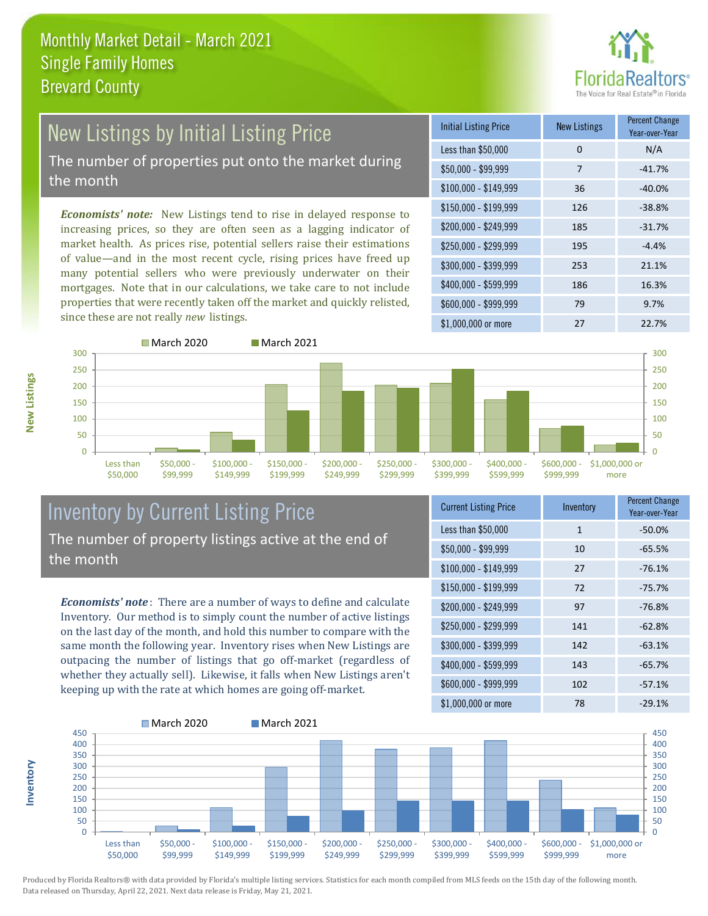

# New Listings by Initial Listing Price The number of properties put onto the market during

the month

**Inventory**

**New Listings**

*Economists' note:* New Listings tend to rise in delayed response to increasing prices, so they are often seen as a lagging indicator of market health. As prices rise, potential sellers raise their estimations of value—and in the most recent cycle, rising prices have freed up many potential sellers who were previously underwater on their mortgages. Note that in our calculations, we take care to not include properties that were recently taken off the market and quickly relisted, since these are not really *new* listings.

| <b>Initial Listing Price</b> | <b>New Listings</b> | <b>Percent Change</b><br>Year-over-Year |
|------------------------------|---------------------|-----------------------------------------|
| Less than \$50,000           | $\Omega$            | N/A                                     |
| $$50,000 - $99,999$          | 7                   | $-41.7%$                                |
| $$100,000 - $149,999$        | 36                  | $-40.0%$                                |
| $$150,000 - $199,999$        | 126                 | $-38.8%$                                |
| \$200,000 - \$249,999        | 185                 | $-31.7%$                                |
| \$250,000 - \$299,999        | 195                 | $-4.4%$                                 |
| \$300,000 - \$399,999        | 253                 | 21.1%                                   |
| \$400,000 - \$599,999        | 186                 | 16.3%                                   |
| \$600,000 - \$999,999        | 79                  | 9.7%                                    |
| \$1,000,000 or more          | 27                  | 22.7%                                   |



#### Inventory by Current Listing Price The number of property listings active at the end of the month

*Economists' note* : There are a number of ways to define and calculate Inventory. Our method is to simply count the number of active listings on the last day of the month, and hold this number to compare with the same month the following year. Inventory rises when New Listings are outpacing the number of listings that go off-market (regardless of whether they actually sell). Likewise, it falls when New Listings aren't keeping up with the rate at which homes are going off-market.

| <b>Current Listing Price</b> | Inventory    | <b>Percent Change</b><br>Year-over-Year |
|------------------------------|--------------|-----------------------------------------|
| Less than \$50,000           | $\mathbf{1}$ | $-50.0%$                                |
| $$50,000 - $99,999$          | 10           | $-65.5%$                                |
| $$100,000 - $149,999$        | 27           | $-76.1%$                                |
| \$150,000 - \$199,999        | 72           | $-75.7%$                                |
| \$200,000 - \$249,999        | 97           | $-76.8%$                                |
| \$250,000 - \$299,999        | 141          | $-62.8%$                                |
| \$300,000 - \$399,999        | 142          | $-63.1%$                                |
| \$400,000 - \$599,999        | 143          | $-65.7%$                                |
| \$600,000 - \$999,999        | 102          | $-57.1%$                                |
| \$1,000,000 or more          | 78           | $-29.1%$                                |